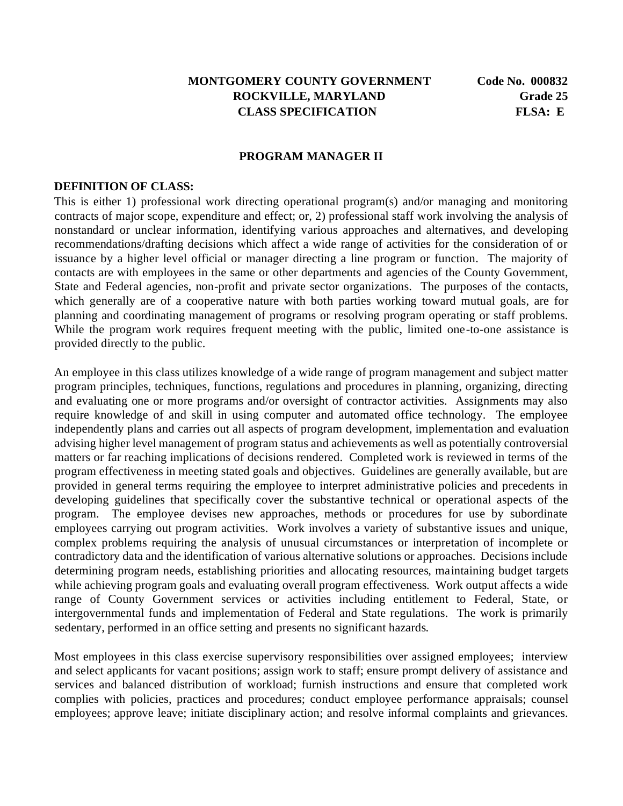#### **MONTGOMERY COUNTY GOVERNMENT Code No. 000832 ROCKVILLE, MARYLAND Grade 25 CLASS SPECIFICATION FLSA: E**

#### **PROGRAM MANAGER II**

#### **DEFINITION OF CLASS:**

This is either 1) professional work directing operational program(s) and/or managing and monitoring contracts of major scope, expenditure and effect; or, 2) professional staff work involving the analysis of nonstandard or unclear information, identifying various approaches and alternatives, and developing recommendations/drafting decisions which affect a wide range of activities for the consideration of or issuance by a higher level official or manager directing a line program or function. The majority of contacts are with employees in the same or other departments and agencies of the County Government, State and Federal agencies, non-profit and private sector organizations. The purposes of the contacts, which generally are of a cooperative nature with both parties working toward mutual goals, are for planning and coordinating management of programs or resolving program operating or staff problems. While the program work requires frequent meeting with the public, limited one-to-one assistance is provided directly to the public.

An employee in this class utilizes knowledge of a wide range of program management and subject matter program principles, techniques, functions, regulations and procedures in planning, organizing, directing and evaluating one or more programs and/or oversight of contractor activities. Assignments may also require knowledge of and skill in using computer and automated office technology. The employee independently plans and carries out all aspects of program development, implementation and evaluation advising higher level management of program status and achievements as well as potentially controversial matters or far reaching implications of decisions rendered. Completed work is reviewed in terms of the program effectiveness in meeting stated goals and objectives. Guidelines are generally available, but are provided in general terms requiring the employee to interpret administrative policies and precedents in developing guidelines that specifically cover the substantive technical or operational aspects of the program. The employee devises new approaches, methods or procedures for use by subordinate employees carrying out program activities. Work involves a variety of substantive issues and unique, complex problems requiring the analysis of unusual circumstances or interpretation of incomplete or contradictory data and the identification of various alternative solutions or approaches. Decisions include determining program needs, establishing priorities and allocating resources, maintaining budget targets while achieving program goals and evaluating overall program effectiveness. Work output affects a wide range of County Government services or activities including entitlement to Federal, State, or intergovernmental funds and implementation of Federal and State regulations. The work is primarily sedentary, performed in an office setting and presents no significant hazards.

Most employees in this class exercise supervisory responsibilities over assigned employees; interview and select applicants for vacant positions; assign work to staff; ensure prompt delivery of assistance and services and balanced distribution of workload; furnish instructions and ensure that completed work complies with policies, practices and procedures; conduct employee performance appraisals; counsel employees; approve leave; initiate disciplinary action; and resolve informal complaints and grievances.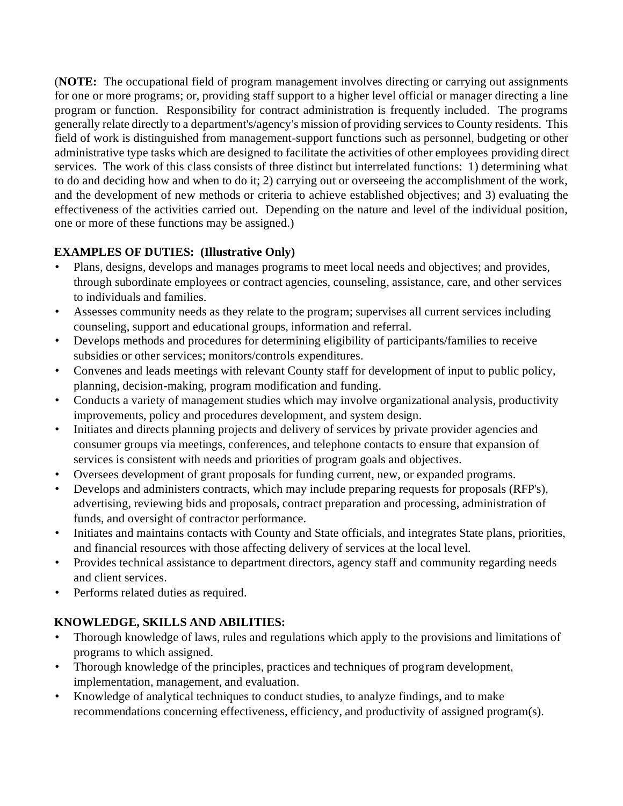(**NOTE:** The occupational field of program management involves directing or carrying out assignments for one or more programs; or, providing staff support to a higher level official or manager directing a line program or function. Responsibility for contract administration is frequently included. The programs generally relate directly to a department's/agency's mission of providing services to County residents. This field of work is distinguished from management-support functions such as personnel, budgeting or other administrative type tasks which are designed to facilitate the activities of other employees providing direct services. The work of this class consists of three distinct but interrelated functions: 1) determining what to do and deciding how and when to do it; 2) carrying out or overseeing the accomplishment of the work, and the development of new methods or criteria to achieve established objectives; and 3) evaluating the effectiveness of the activities carried out. Depending on the nature and level of the individual position, one or more of these functions may be assigned.)

## **EXAMPLES OF DUTIES: (Illustrative Only)**

- Plans, designs, develops and manages programs to meet local needs and objectives; and provides, through subordinate employees or contract agencies, counseling, assistance, care, and other services to individuals and families.
- Assesses community needs as they relate to the program; supervises all current services including counseling, support and educational groups, information and referral.
- Develops methods and procedures for determining eligibility of participants/families to receive subsidies or other services; monitors/controls expenditures.
- Convenes and leads meetings with relevant County staff for development of input to public policy, planning, decision-making, program modification and funding.
- Conducts a variety of management studies which may involve organizational analysis, productivity improvements, policy and procedures development, and system design.
- Initiates and directs planning projects and delivery of services by private provider agencies and consumer groups via meetings, conferences, and telephone contacts to ensure that expansion of services is consistent with needs and priorities of program goals and objectives.
- Oversees development of grant proposals for funding current, new, or expanded programs.
- Develops and administers contracts, which may include preparing requests for proposals (RFP's), advertising, reviewing bids and proposals, contract preparation and processing, administration of funds, and oversight of contractor performance.
- Initiates and maintains contacts with County and State officials, and integrates State plans, priorities, and financial resources with those affecting delivery of services at the local level.
- Provides technical assistance to department directors, agency staff and community regarding needs and client services.
- Performs related duties as required.

# **KNOWLEDGE, SKILLS AND ABILITIES:**

- Thorough knowledge of laws, rules and regulations which apply to the provisions and limitations of programs to which assigned.
- Thorough knowledge of the principles, practices and techniques of program development, implementation, management, and evaluation.
- Knowledge of analytical techniques to conduct studies, to analyze findings, and to make recommendations concerning effectiveness, efficiency, and productivity of assigned program(s).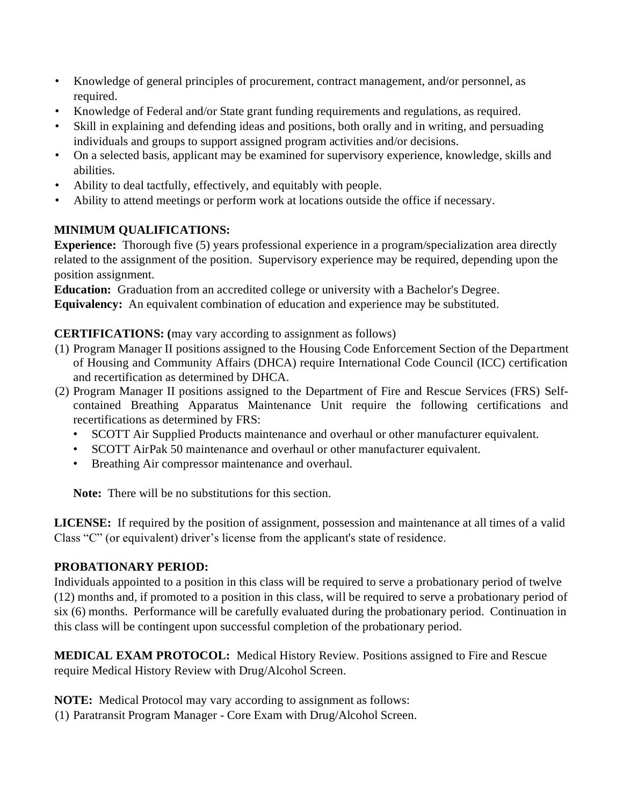- Knowledge of general principles of procurement, contract management, and/or personnel, as required.
- Knowledge of Federal and/or State grant funding requirements and regulations, as required.
- Skill in explaining and defending ideas and positions, both orally and in writing, and persuading individuals and groups to support assigned program activities and/or decisions.
- On a selected basis, applicant may be examined for supervisory experience, knowledge, skills and abilities.
- Ability to deal tactfully, effectively, and equitably with people.
- Ability to attend meetings or perform work at locations outside the office if necessary.

# **MINIMUM QUALIFICATIONS:**

**Experience:** Thorough five (5) years professional experience in a program/specialization area directly related to the assignment of the position. Supervisory experience may be required, depending upon the position assignment.

**Education:** Graduation from an accredited college or university with a Bachelor's Degree. **Equivalency:** An equivalent combination of education and experience may be substituted.

### **CERTIFICATIONS: (**may vary according to assignment as follows)

- (1) Program Manager II positions assigned to the Housing Code Enforcement Section of the Department of Housing and Community Affairs (DHCA) require International Code Council (ICC) certification and recertification as determined by DHCA.
- (2) Program Manager II positions assigned to the Department of Fire and Rescue Services (FRS) Selfcontained Breathing Apparatus Maintenance Unit require the following certifications and recertifications as determined by FRS:
	- SCOTT Air Supplied Products maintenance and overhaul or other manufacturer equivalent.
	- SCOTT AirPak 50 maintenance and overhaul or other manufacturer equivalent.
	- Breathing Air compressor maintenance and overhaul.

**Note:** There will be no substitutions for this section.

**LICENSE:** If required by the position of assignment, possession and maintenance at all times of a valid Class "C" (or equivalent) driver's license from the applicant's state of residence.

### **PROBATIONARY PERIOD:**

Individuals appointed to a position in this class will be required to serve a probationary period of twelve (12) months and, if promoted to a position in this class, will be required to serve a probationary period of six (6) months. Performance will be carefully evaluated during the probationary period. Continuation in this class will be contingent upon successful completion of the probationary period.

**MEDICAL EXAM PROTOCOL:** Medical History Review. Positions assigned to Fire and Rescue require Medical History Review with Drug/Alcohol Screen.

**NOTE:** Medical Protocol may vary according to assignment as follows:

(1) Paratransit Program Manager - Core Exam with Drug/Alcohol Screen.